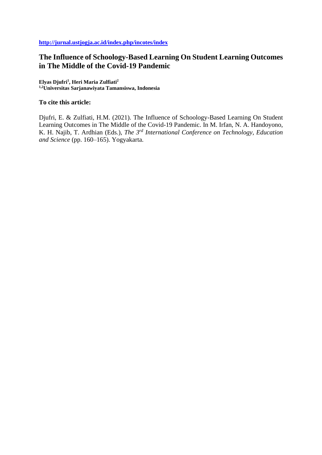# **The Influence of Schoology-Based Learning On Student Learning Outcomes in The Middle of the Covid-19 Pandemic**

**Elyas Djufri<sup>1</sup> , Heri Maria Zulfiati<sup>2</sup> 1,2Universitas Sarjanawiyata Tamansiswa, Indonesia**

#### **To cite this article:**

Djufri, E. & Zulfiati, H.M. (2021). The Influence of Schoology-Based Learning On Student Learning Outcomes in The Middle of the Covid-19 Pandemic. In M. Irfan, N. A. Handoyono, K. H. Najib, T. Ardhian (Eds.), *The 3rd International Conference on Technology, Education and Science* (pp. 160–165). Yogyakarta.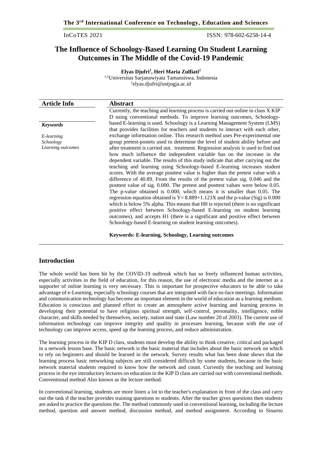InCoTES 2021 ISSN: 978-602-6258-14-4

## **The Influence of Schoology-Based Learning On Student Learning Outcomes in The Middle of the Covid-19 Pandemic**

**Elyas Djufri<sup>1</sup> , Heri Maria Zulfiati<sup>2</sup>** 1,2Universitas Sarjanawiyata Tamansiswa, Indonesia 1 elyas.djufri@ustjogja.ac.id

| <b>Article Info</b> | <b>Abstract</b>                                                                                                                                                                                                                                                                                                                                                                                                                                                                                                                                                                                                                                                                                                                                                                                                                                                                                                                                                                                       |
|---------------------|-------------------------------------------------------------------------------------------------------------------------------------------------------------------------------------------------------------------------------------------------------------------------------------------------------------------------------------------------------------------------------------------------------------------------------------------------------------------------------------------------------------------------------------------------------------------------------------------------------------------------------------------------------------------------------------------------------------------------------------------------------------------------------------------------------------------------------------------------------------------------------------------------------------------------------------------------------------------------------------------------------|
|                     | Currently, the teaching and learning process is carried out online in class X KIP                                                                                                                                                                                                                                                                                                                                                                                                                                                                                                                                                                                                                                                                                                                                                                                                                                                                                                                     |
|                     | D using conventional methods. To improve learning outcomes, Schoology-                                                                                                                                                                                                                                                                                                                                                                                                                                                                                                                                                                                                                                                                                                                                                                                                                                                                                                                                |
| <b>Keywords</b>     | based E-learning is used. Schoology is a Learning Management System (LMS)<br>that provides facilities for teachers and students to interact with each other,                                                                                                                                                                                                                                                                                                                                                                                                                                                                                                                                                                                                                                                                                                                                                                                                                                          |
| E-learning          | exchange information online. This research method uses Pre-experimental one                                                                                                                                                                                                                                                                                                                                                                                                                                                                                                                                                                                                                                                                                                                                                                                                                                                                                                                           |
| Schoology           | group pretest-postets used to determine the level of student ability before and                                                                                                                                                                                                                                                                                                                                                                                                                                                                                                                                                                                                                                                                                                                                                                                                                                                                                                                       |
| Learning outcomes   | after treatment is carried out. treatment. Regression analysis is used to find out<br>how much influence the independent variable has on the increase in the<br>dependent variable. The results of this study indicate that after carrying out the<br>teaching and learning using Schoology-based E-learning increases student<br>scores. With the average posttest value is higher than the pretest value with a<br>difference of 40.89. From the results of the pretest value sig. 0.046 and the<br>posttest value of sig. 0.000. The pretest and posttest values were below 0.05.<br>The p-value obtained is 0.000, which means it is smaller than 0.05. The<br>regression equation obtained is $Y = 8.889 + 1.123X$ and the p-value (Sig) is 0.000<br>which is below 5% alpha. This means that H0 is rejected (there is no significant<br>positive effect between Schoology-based E-learning on student learning<br>outcomes), and accepts H1 (there is a significant and positive effect between |
|                     | Schoology-based E-learning on student learning outcomes).                                                                                                                                                                                                                                                                                                                                                                                                                                                                                                                                                                                                                                                                                                                                                                                                                                                                                                                                             |

#### **Keywords: E-learning, Schoology, Learning outcomes**

#### **Introduction**

The whole world has been hit by the COVID-19 outbreak which has so freely influenced human activities, especially activities in the field of education, for this reason, the use of electronic media and the internet as a supporter of online learning is very necessary. This is important for prospective educators to be able to take advantage of e-Learning, especially schoology courses that are integrated with face-to-face meetings. Information and communication technology has become an important element in the world of education as a learning medium. Education is conscious and planned effort to create an atmosphere active learning and learning process in developing their potential to have religious spiritual strength, self-control, personality, intelligence, noble character, and skills needed by themselves, society, nation and state (Law number 20 of 2003). The current use of information technology can improve integrity and quality in processes learning, because with the use of technology can improve access, speed up the learning process, and reduce administration.

The learning process in the KIP D class, students must develop the ability to think creative, critical and packaged in a network lesson base. The basic network is the basic material that includes about the basic network on which to rely on beginners and should be learned in the network. Survey results what has been done shows that the learning process basic networking subjects are still considered difficult by some students, because in the basic network material students required to know how the network and count. Currently the teaching and learning process in the eye introductory lectures on education in the KIP D class are carried out with conventional methods. Conventional method Also known as the lecture method.

In conventional learning, students are more listen a lot to the teacher's explanation in front of the class and carry out the task if the teacher provides training questions to students. After the teacher gives questions then students are asked to practice the questions the. The method commonly used in conventional learning, including the lecture method, question and answer method, discussion method, and method assignment. According to Sinarno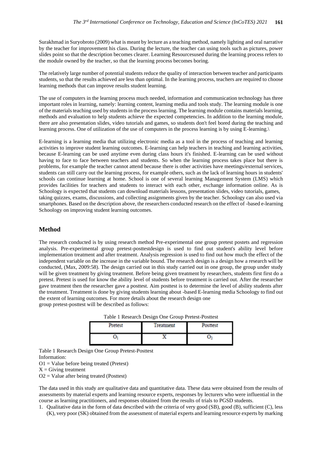Surakhmad in Suryobroto (2009) what is meant by lecture as a teaching method, namely lighting and oral narrative by the teacher for improvement his class. During the lecture, the teacher can using tools such as pictures, power slides point so that the description becomes clearer. Learning Resourcesused during the learning process refers to the module owned by the teacher, so that the learning process becomes boring.

The relatively large number of potential students reduce the quality of interaction between teacher and participants students, so that the results achieved are less than optimal. In the learning process, teachers are required to choose learning methods that can improve results student learning.

The use of computers in the learning process much needed, information and communication technology has three important roles in learning, namely: learning content, learning media and tools study. The learning module is one of the materials teaching used by students in the process learning. The learning module contains materials learning, methods and evaluation to help students achieve the expected competencies. In addition to the learning module, there are also presentation slides, video tutorials and games, so students don't feel bored during the teaching and learning process. One of utilization of the use of computers in the process learning is by using E-learning.\

E-learning is a learning media that utilizing electronic media as a tool in the process of teaching and learning activities to improve student learning outcomes. E-learning can help teachers in teaching and learning activities, because E-learning can be used anytime even during class hours it's finished. E-learning can be used without having to face to face between teachers and students. So when the learning process takes place but there is problems, for example the teacher cannot attend because there is other activities have meetings/external services, students can still carry out the learning process, for example others, such as the lack of learning hours in students' schools can continue learning at home. School is one of several learning Management System (LMS) which provides facilities for teachers and students to interact with each other, exchange information online. As is Schoology is expected that students can download materials lessons, presentation slides, video tutorials, games, taking quizzes, exams, discussions, and collecting assignments given by the teacher. Schoology can also used via smartphones. Based on the description above, the researchers conducted research on the effect of -based e-learning Schoology on improving student learning outcomes.

#### **Method**

The research conducted is by using research method Pre-experimental one group pretest postets and regression analysis. Pre-experimental group pretest-posttestdesign is used to find out student's ability level before implementation treatment and after treatment. Analysis regression is used to find out how much the effect of the independent variable on the increase in the variable bound. The research design is a design how a research will be conducted, (Max, 2009:58). The design carried out in this study carried out in one group, the group under study will be given treatment by giving treatment. Before being given treatment by researchers, students first first do a pretest. Pretest is used for know the ability level of students before treatment is carried out. After the researcher gave treatment then the researcher gave a posttest. Aim posttest is to determine the level of ability students after the treatment. Treatment is done by giving students learning about -based E-learning media Schoology to find out the extent of learning outcomes. For more details about the research design one group pretest-posttest will be described as follows:

| Table 1 Research Design One Group Pretest-Posttest |  |
|----------------------------------------------------|--|
|----------------------------------------------------|--|

| Pretest | Treatment | <b>Posttest</b> |
|---------|-----------|-----------------|
|         |           |                 |

Table 1 Research Design One Group Pretest-Posttest Information:  $O1 =$  Value before being treated (Pretest)  $X =$  Giving treatment

 $O2 =$  Value after being treated (Posttest)

The data used in this study are qualitative data and quantitative data. These data were obtained from the results of assessments by material experts and learning resource experts, responses by lecturers who were influential in the course as learning practitioners, and responses obtained from the results of trials to PGSD students.

1. Qualitative data in the form of data described with the criteria of very good (SB), good (B), sufficient (C), less (K), very poor (SK) obtained from the assessment of material experts and learning resource experts by marking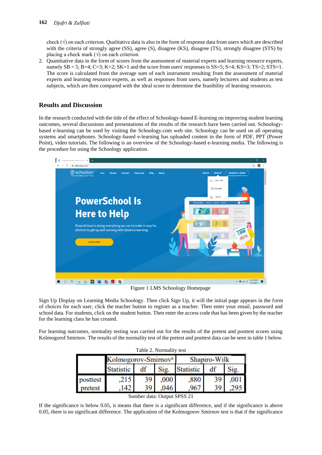check  $(\sqrt{})$  on each criterion. Qualitative data is also in the form of response data from users which are described with the criteria of strongly agree (SS), agree (S), disagree (KS), disagree (TS), strongly disagree (STS) by placing a check mark  $(\sqrt{})$  on each criterion.

2. Quantitative data in the form of scores from the assessment of material experts and learning resource experts, namely  $SB = 5$ ;  $B=4$ ;  $C=3$ ;  $K=2$ ;  $SK=1$  and the score from users' responses is  $SS=5$ ;  $S=4$ ;  $KS=3$ ;  $TS=2$ ;  $STS=1$ . The score is calculated from the average sum of each instrument resulting from the assessment of material experts and learning resource experts, as well as responses from users, namely lecturers and students as test subjects, which are then compared with the ideal score to determine the feasibility of learning resources.

## **Results and Discussion**

In the research conducted with the title of the effect of Schoology-based E-learning on improving student learning outcomes, several discussions and presentations of the results of the research have been carried out. Schoologybased e-learning can be used by visiting the Schoology.com web site. Schoology can be used on all operating systems and smartphones. Schoology-based e-learning has uploaded content in the form of PDF, PPT (Power Point), video tutorials. The following is an overview of the Schoology-based e-learning media. The following is the procedure for using the Schoology application.



Figure 1 LMS Schoology Homepage

Sign Up Display on Learning Media Schoology. Then click Sign Up, it will the initial page appears in the form of choices for each user, click the teacher button to register as a teacher. Then enter your email, password and school data. For students, click on the student button. Then enter the access code that has been given by the teacher for the learning class he has created.

For learning outcomes, normality testing was carried out for the results of the pretest and posttest scores using Kolmogorof Smirnov. The results of the normality test of the pretest and posttest data can be seen in table 1 below.

| Table 2. Normality test |                                 |    |      |                  |    |      |
|-------------------------|---------------------------------|----|------|------------------|----|------|
|                         | Kolmogorov-Smirnov <sup>a</sup> |    |      | Shapiro-Wilk     |    |      |
|                         | <b>Statistic</b>                | df | Sig. | <b>Statistic</b> | df | Sig. |
| posttest                | .215                            | 39 | .000 | .880             |    |      |
| pretest                 | -42.                            | 39 |      | 9h               | 39 |      |

Sumber data: Output SPSS 21

If the significance is below 0.05, it means that there is a significant difference, and if the significance is above 0.05, there is no significant difference. The application of the Kolmogorov Smirnov test is that if the significance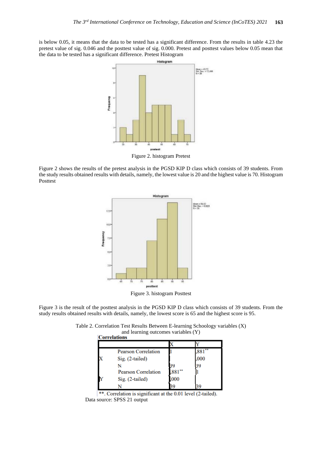is below 0.05, it means that the data to be tested has a significant difference. From the results in table 4.23 the pretest value of sig. 0.046 and the posttest value of sig. 0.000. Pretest and posttest values below 0.05 mean that the data to be tested has a significant difference. Pretest Histogram



Figure 2 shows the results of the pretest analysis in the PGSD KIP D class which consists of 39 students. From the study results obtained results with details, namely, the lowest value is 20 and the highest value is 70. Histogram Posttest



Figure 3. histogram Posttest

Figure 3 is the result of the posttest analysis in the PGSD KIP D class which consists of 39 students. From the study results obtained results with details, namely, the lowest score is 65 and the highest score is 95.

Table 2. Correlation Test Results Between E-learning Schoology variables (X) and learning outcomes variables (Y)

| <b>Correlations</b> |                            |      |      |
|---------------------|----------------------------|------|------|
|                     |                            |      |      |
|                     | <b>Pearson Correlation</b> |      |      |
|                     | Sig. (2-tailed)            |      | .000 |
|                     |                            |      |      |
|                     | <b>Pearson Correlation</b> | 881  |      |
|                     | Sig. (2-tailed)            | ,000 |      |
|                     |                            |      |      |

\*\*. Correlation is significant at the 0.01 level (2-tailed). Data source: SPSS 21 output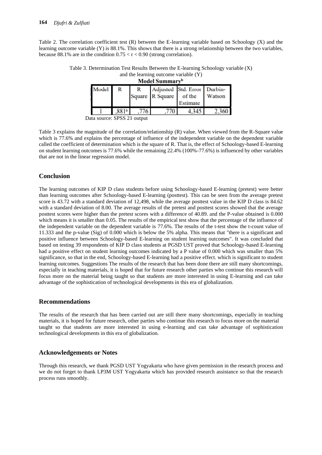Table 2. The correlation coefficient test (R) between the E-learning variable based on Schoology (X) and the learning outcome variable (Y) is 88.1%. This shows that there is a strong relationship between the two variables, because 88.1% are in the condition  $0.75 < r < 0.90$  (strong correlation).

| Model Summary <sup>b</sup> |  |  |        |                                                            |
|----------------------------|--|--|--------|------------------------------------------------------------|
| R                          |  |  |        |                                                            |
|                            |  |  | of the | Watson                                                     |
|                            |  |  |        |                                                            |
|                            |  |  |        |                                                            |
|                            |  |  |        | Adjusted Std. Error Durbin-<br>Square R Square<br>Estimate |

Table 3. Determination Test Results Between the E-learning Schoology variable (X) and the learning outcome variable  $(Y)$ 

Data source: SPSS 21 output

Table 3 explains the magnitude of the correlation/relationship (R) value. When viewed from the R-Square value which is 77.6% and explains the percentage of influence of the independent variable on the dependent variable called the coefficient of determination which is the square of R. That is, the effect of Schoology-based E-learning on student learning outcomes is 77.6% while the remaining 22.4% (100%-77.6%) is influenced by other variables that are not in the linear regression model.

#### **Conclusion**

The learning outcomes of KIP D class students before using Schoology-based E-learning (pretest) were better than learning outcomes after Schoology-based E-learning (posttest). This can be seen from the average pretest score is 43.72 with a standard deviation of 12,498, while the average posttest value in the KIP D class is 84.62 with a standard deviation of 8.00. The average results of the pretest and posttest scores showed that the average posttest scores were higher than the pretest scores with a difference of 40.89. and the P-value obtained is 0.000 which means it is smaller than 0.05. The results of the empirical test show that the percentage of the influence of the independent variable on the dependent variable is 77.6%. The results of the t-test show the t-count value of 11.333 and the p-value (Sig) of 0.000 which is below the 5% alpha. This means that "there is a significant and positive influence between Schoology-based E-learning on student learning outcomes". It was concluded that based on testing 39 respondents of KIP D class students at PGSD UST proved that Schoology-based E-learning had a positive effect on student learning outcomes indicated by a P value of 0.000 which was smaller than 5% significance, so that in the end, Schoology-based E-learning had a positive effect. which is significant to student learning outcomes. Suggestions The results of the research that has been done there are still many shortcomings, especially in teaching materials, it is hoped that for future research other parties who continue this research will focus more on the material being taught so that students are more interested in using E-learning and can take advantage of the sophistication of technological developments in this era of globalization.

#### **Recommendations**

The results of the research that has been carried out are still there many shortcomings, especially in teaching materials, it is hoped for future research, other parties who continue this research to focus more on the material taught so that students are more interested in using e-learning and can take advantage of sophistication technological developments in this era of globalization.

### **Acknowledgements or Notes**

Through this research, we thank PGSD UST Yogyakarta who have given permission in the research process and we do not forget to thank LP3M UST Yogyakarta which has provided research assistance so that the research process runs smoothly.